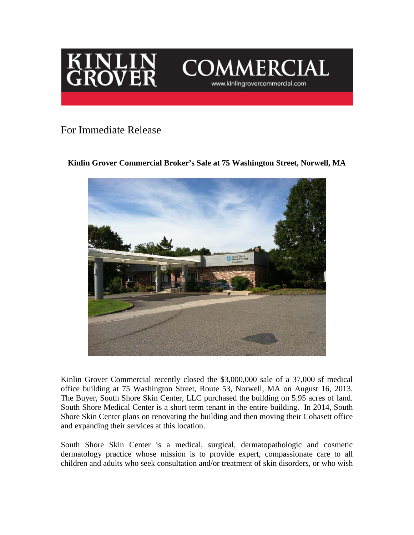



## For Immediate Release

## **Kinlin Grover Commercial Broker's Sale at 75 Washington Street, Norwell, MA**



Kinlin Grover Commercial recently closed the \$3,000,000 sale of a 37,000 sf medical office building at 75 Washington Street, Route 53, Norwell, MA on August 16, 2013. The Buyer, South Shore Skin Center, LLC purchased the building on 5.95 acres of land. South Shore Medical Center is a short term tenant in the entire building. In 2014, South Shore Skin Center plans on renovating the building and then moving their Cohasett office and expanding their services at this location.

South Shore Skin Center is a medical, surgical, dermatopathologic and cosmetic dermatology practice whose mission is to provide expert, compassionate care to all children and adults who seek consultation and/or treatment of skin disorders, or who wish